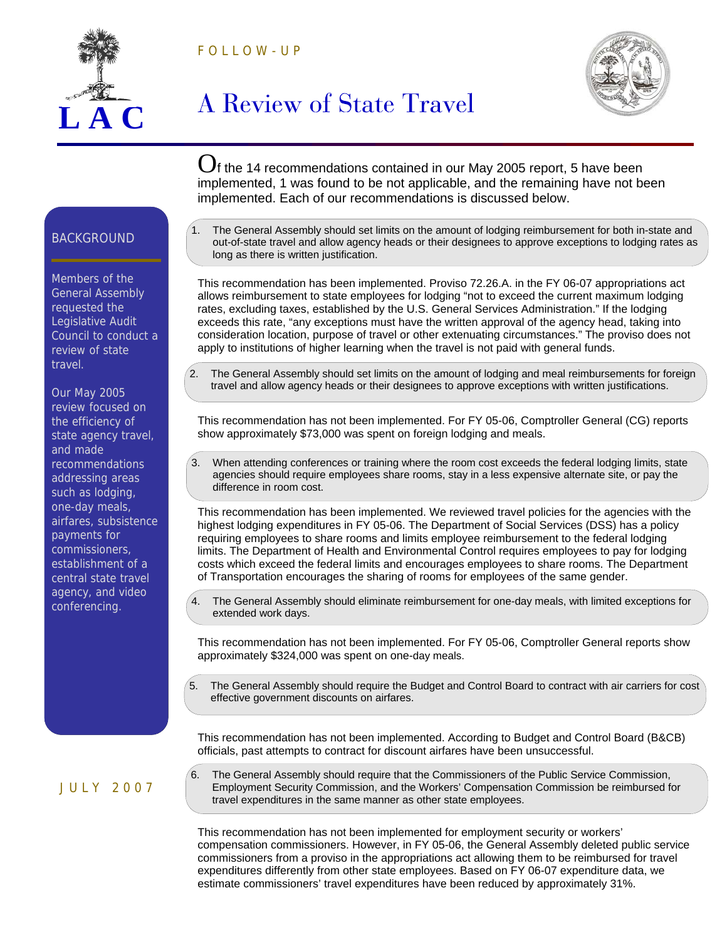



## **A Review of State Travel**



 $O<sub>f</sub>$  the 14 recommendations contained in our May 2005 report, 5 have been implemented, 1 was found to be not applicable, and the remaining have not been implemented. Each of our recommendations is discussed below.

The General Assembly should set limits on the amount of lodging reimbursement for both in-state and out-of-state travel and allow agency heads or their designees to approve exceptions to lodging rates as long as there is written justification.

This recommendation has been implemented. Proviso 72.26.A. in the FY 06-07 appropriations act allows reimbursement to state employees for lodging "not to exceed the current maximum lodging rates, excluding taxes, established by the U.S. General Services Administration." If the lodging exceeds this rate, "any exceptions must have the written approval of the agency head, taking into consideration location, purpose of travel or other extenuating circumstances." The proviso does not apply to institutions of higher learning when the travel is not paid with general funds.

The General Assembly should set limits on the amount of lodging and meal reimbursements for foreign travel and allow agency heads or their designees to approve exceptions with written justifications.

This recommendation has not been implemented. For FY 05-06, Comptroller General (CG) reports show approximately \$73,000 was spent on foreign lodging and meals.

3. When attending conferences or training where the room cost exceeds the federal lodging limits, state agencies should require employees share rooms, stay in a less expensive alternate site, or pay the difference in room cost.

This recommendation has been implemented. We reviewed travel policies for the agencies with the highest lodging expenditures in FY 05-06. The Department of Social Services (DSS) has a policy requiring employees to share rooms and limits employee reimbursement to the federal lodging limits. The Department of Health and Environmental Control requires employees to pay for lodging costs which exceed the federal limits and encourages employees to share rooms. The Department of Transportation encourages the sharing of rooms for employees of the same gender.

The General Assembly should eliminate reimbursement for one-day meals, with limited exceptions for extended work days.

This recommendation has not been implemented. For FY 05-06, Comptroller General reports show approximately \$324,000 was spent on one-day meals.

The General Assembly should require the Budget and Control Board to contract with air carriers for cost effective government discounts on airfares.

This recommendation has not been implemented. According to Budget and Control Board (B&CB) officials, past attempts to contract for discount airfares have been unsuccessful.

6. The General Assembly should require that the Commissioners of the Public Service Commission, Employment Security Commission, and the Workers' Compensation Commission be reimbursed for travel expenditures in the same manner as other state employees.

This recommendation has not been implemented for employment security or workers' compensation commissioners. However, in FY 05-06, the General Assembly deleted public service commissioners from a proviso in the appropriations act allowing them to be reimbursed for travel expenditures differently from other state employees. Based on FY 06-07 expenditure data, we estimate commissioners' travel expenditures have been reduced by approximately 31%.

## **BACKGROUND**

Members of the General Assembly requested the Legislative Audit Council to conduct a review of state travel.

Our May 2005 review focused on the efficiency of state agency travel, and made recommendations addressing areas such as lodging, one-day meals, airfares, subsistence payments for commissioners, establishment of a central state travel agency, and video conferencing.

J U L Y 2 0 0 7